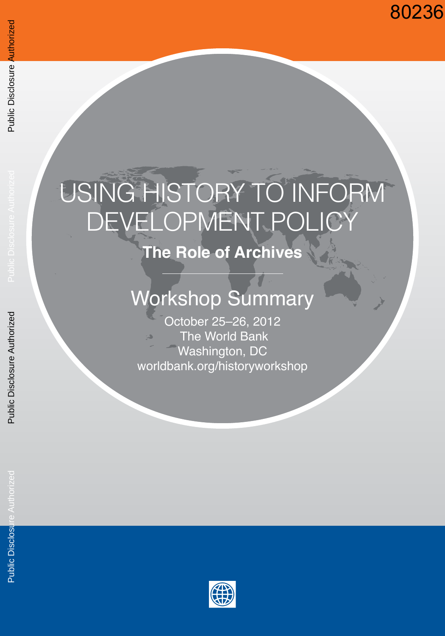## 80236

# USING HISTORY TO INFORM DEVELOPMENT POLICY

**The Role of Archives**

## Workshop Summary

October 25–26, 2012 The World Bank Washington, DC worldbank.org/historyworkshop

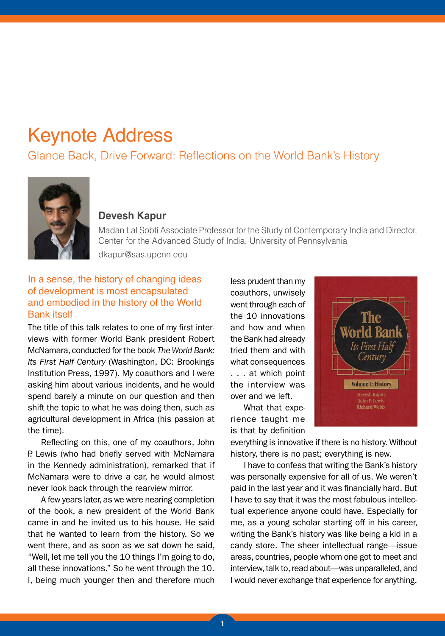## Keynote Address

### Glance Back, Drive Forward: Reflections on the World Bank's History



#### **Devesh Kapur**

Madan Lal Sobti Associate Professor for the Study of Contemporary India and Director, Center for the Advanced Study of India, University of Pennsylvania dkapur@sas.upenn.edu

#### In a sense, the history of changing ideas of development is most encapsulated and embodied in the history of the World Bank itself

The title of this talk relates to one of my first interviews with former World Bank president Robert McNamara, conducted for the book *The World Bank: Its First Half Century* (Washington, DC: Brookings Institution Press, 1997). My coauthors and I were asking him about various incidents, and he would spend barely a minute on our question and then shift the topic to what he was doing then, such as agricultural development in Africa (his passion at the time).

Reflecting on this, one of my coauthors, John P. Lewis (who had briefly served with McNamara in the Kennedy administration), remarked that if McNamara were to drive a car, he would almost never look back through the rearview mirror.

A few years later, as we were nearing completion of the book, a new president of the World Bank came in and he invited us to his house. He said that he wanted to learn from the history. So we went there, and as soon as we sat down he said, "Well, let me tell you the 10 things I'm going to do, all these innovations." So he went through the 10. I, being much younger then and therefore much

less prudent than my coauthors, unwisely went through each of the 10 innovations and how and when the Bank had already tried them and with what consequences . . . at which point the interview was over and we left.

What that experience taught me is that by definition



everything is innovative if there is no history. Without history, there is no past; everything is new.

I have to confess that writing the Bank's history was personally expensive for all of us. We weren't paid in the last year and it was financially hard. But I have to say that it was the most fabulous intellectual experience anyone could have. Especially for me, as a young scholar starting off in his career, writing the Bank's history was like being a kid in a candy store. The sheer intellectual range—issue areas, countries, people whom one got to meet and interview, talk to, read about—was unparalleled, and I would never exchange that experience for anything.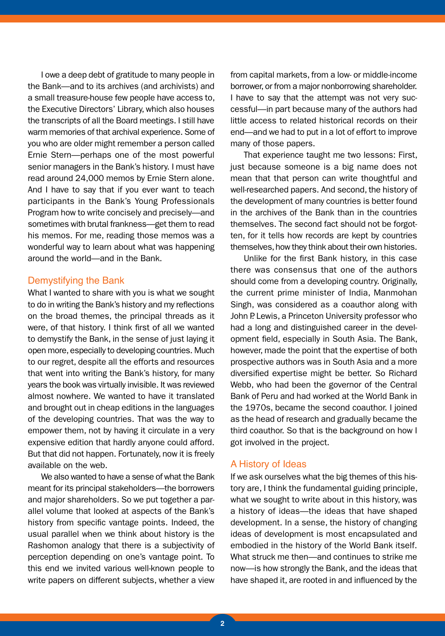I owe a deep debt of gratitude to many people in the Bank—and to its archives (and archivists) and a small treasure-house few people have access to, the Executive Directors' Library, which also houses the transcripts of all the Board meetings. I still have warm memories of that archival experience. Some of you who are older might remember a person called Ernie Stern—perhaps one of the most powerful senior managers in the Bank's history. I must have read around 24,000 memos by Ernie Stern alone. And I have to say that if you ever want to teach participants in the Bank's Young Professionals Program how to write concisely and precisely—and sometimes with brutal frankness—get them to read his memos. For me, reading those memos was a wonderful way to learn about what was happening around the world—and in the Bank.

#### Demystifying the Bank

What I wanted to share with you is what we sought to do in writing the Bank's history and my reflections on the broad themes, the principal threads as it were, of that history. I think first of all we wanted to demystify the Bank, in the sense of just laying it open more, especially to developing countries. Much to our regret, despite all the efforts and resources that went into writing the Bank's history, for many years the book was virtually invisible. It was reviewed almost nowhere. We wanted to have it translated and brought out in cheap editions in the languages of the developing countries. That was the way to empower them, not by having it circulate in a very expensive edition that hardly anyone could afford. But that did not happen. Fortunately, now it is freely available on the web.

We also wanted to have a sense of what the Bank meant for its principal stakeholders—the borrowers and major shareholders. So we put together a parallel volume that looked at aspects of the Bank's history from specific vantage points. Indeed, the usual parallel when we think about history is the Rashomon analogy that there is a subjectivity of perception depending on one's vantage point. To this end we invited various well-known people to write papers on different subjects, whether a view

from capital markets, from a low- or middle-income borrower, or from a major nonborrowing shareholder. I have to say that the attempt was not very successful—in part because many of the authors had little access to related historical records on their end—and we had to put in a lot of effort to improve many of those papers.

That experience taught me two lessons: First, just because someone is a big name does not mean that that person can write thoughtful and well-researched papers. And second, the history of the development of many countries is better found in the archives of the Bank than in the countries themselves. The second fact should not be forgotten, for it tells how records are kept by countries themselves, how they think about their own histories.

Unlike for the first Bank history, in this case there was consensus that one of the authors should come from a developing country. Originally, the current prime minister of India, Manmohan Singh, was considered as a coauthor along with John P. Lewis, a Princeton University professor who had a long and distinguished career in the development field, especially in South Asia. The Bank, however, made the point that the expertise of both prospective authors was in South Asia and a more diversified expertise might be better. So Richard Webb, who had been the governor of the Central Bank of Peru and had worked at the World Bank in the 1970s, became the second coauthor. I joined as the head of research and gradually became the third coauthor. So that is the background on how I got involved in the project.

#### A History of Ideas

If we ask ourselves what the big themes of this history are, I think the fundamental guiding principle, what we sought to write about in this history, was a history of ideas—the ideas that have shaped development. In a sense, the history of changing ideas of development is most encapsulated and embodied in the history of the World Bank itself. What struck me then—and continues to strike me now—is how strongly the Bank, and the ideas that have shaped it, are rooted in and influenced by the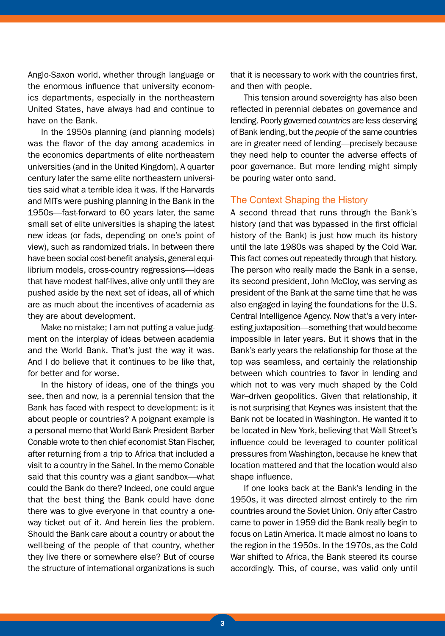Anglo-Saxon world, whether through language or the enormous influence that university economics departments, especially in the northeastern United States, have always had and continue to have on the Bank.

In the 1950s planning (and planning models) was the flavor of the day among academics in the economics departments of elite northeastern universities (and in the United Kingdom). A quarter century later the same elite northeastern universities said what a terrible idea it was. If the Harvards and MITs were pushing planning in the Bank in the 1950s—fast-forward to 60 years later, the same small set of elite universities is shaping the latest new ideas (or fads, depending on one's point of view), such as randomized trials. In between there have been social cost-benefit analysis, general equilibrium models, cross-country regressions—ideas that have modest half-lives, alive only until they are pushed aside by the next set of ideas, all of which are as much about the incentives of academia as they are about development.

Make no mistake; I am not putting a value judgment on the interplay of ideas between academia and the World Bank. That's just the way it was. And I do believe that it continues to be like that, for better and for worse.

In the history of ideas, one of the things you see, then and now, is a perennial tension that the Bank has faced with respect to development: is it about people or countries? A poignant example is a personal memo that World Bank President Barber Conable wrote to then chief economist Stan Fischer, after returning from a trip to Africa that included a visit to a country in the Sahel. In the memo Conable said that this country was a giant sandbox—what could the Bank do there? Indeed, one could argue that the best thing the Bank could have done there was to give everyone in that country a oneway ticket out of it. And herein lies the problem. Should the Bank care about a country or about the well-being of the people of that country, whether they live there or somewhere else? But of course the structure of international organizations is such

that it is necessary to work with the countries first, and then with people.

This tension around sovereignty has also been reflected in perennial debates on governance and lending. Poorly governed *countries* are less deserving of Bank lending, but the *people* of the same countries are in greater need of lending—precisely because they need help to counter the adverse effects of poor governance. But more lending might simply be pouring water onto sand.

#### The Context Shaping the History

A second thread that runs through the Bank's history (and that was bypassed in the first official history of the Bank) is just how much its history until the late 1980s was shaped by the Cold War. This fact comes out repeatedly through that history. The person who really made the Bank in a sense, its second president, John McCloy, was serving as president of the Bank at the same time that he was also engaged in laying the foundations for the U.S. Central Intelligence Agency. Now that's a very interesting juxtaposition—something that would become impossible in later years. But it shows that in the Bank's early years the relationship for those at the top was seamless, and certainly the relationship between which countries to favor in lending and which not to was very much shaped by the Cold War–driven geopolitics. Given that relationship, it is not surprising that Keynes was insistent that the Bank not be located in Washington. He wanted it to be located in New York, believing that Wall Street's influence could be leveraged to counter political pressures from Washington, because he knew that location mattered and that the location would also shape influence.

If one looks back at the Bank's lending in the 1950s, it was directed almost entirely to the rim countries around the Soviet Union. Only after Castro came to power in 1959 did the Bank really begin to focus on Latin America. It made almost no loans to the region in the 1950s. In the 1970s, as the Cold War shifted to Africa, the Bank steered its course accordingly. This, of course, was valid only until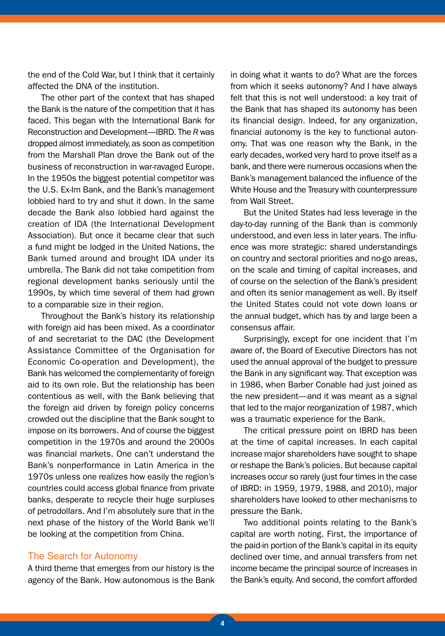the end of the Cold War, but I think that it certainly affected the DNA of the institution.

The other part of the context that has shaped the Bank is the nature of the competition that it has faced. This began with the International Bank for Reconstruction and Development—IBRD. The *R* was dropped almost immediately, as soon as competition from the Marshall Plan drove the Bank out of the business of reconstruction in war-ravaged Europe. In the 1950s the biggest potential competitor was the U.S. Ex-Im Bank, and the Bank's management lobbied hard to try and shut it down. In the same decade the Bank also lobbied hard against the creation of IDA (the International Development Association). But once it became clear that such a fund might be lodged in the United Nations, the Bank turned around and brought IDA under its umbrella. The Bank did not take competition from regional development banks seriously until the 1990s, by which time several of them had grown to a comparable size in their region.

Throughout the Bank's history its relationship with foreign aid has been mixed. As a coordinator of and secretariat to the DAC (the Development Assistance Committee of the Organisation for Economic Co-operation and Development), the Bank has welcomed the complementarity of foreign aid to its own role. But the relationship has been contentious as well, with the Bank believing that the foreign aid driven by foreign policy concerns crowded out the discipline that the Bank sought to impose on its borrowers. And of course the biggest competition in the 1970s and around the 2000s was financial markets. One can't understand the Bank's nonperformance in Latin America in the 1970s unless one realizes how easily the region's countries could access global finance from private banks, desperate to recycle their huge surpluses of petrodollars. And I'm absolutely sure that in the next phase of the history of the World Bank we'll be looking at the competition from China.

#### The Search for Autonomy

A third theme that emerges from our history is the agency of the Bank. How autonomous is the Bank

in doing what it wants to do? What are the forces from which it seeks autonomy? And I have always felt that this is not well understood: a key trait of the Bank that has shaped its autonomy has been its financial design. Indeed, for any organization, financial autonomy is the key to functional autonomy. That was one reason why the Bank, in the early decades, worked very hard to prove itself as a bank, and there were numerous occasions when the Bank's management balanced the influence of the White House and the Treasury with counterpressure from Wall Street.

But the United States had less leverage in the day-to-day running of the Bank than is commonly understood, and even less in later years. The influence was more strategic: shared understandings on country and sectoral priorities and no-go areas, on the scale and timing of capital increases, and of course on the selection of the Bank's president and often its senior management as well. By itself the United States could not vote down loans or the annual budget, which has by and large been a consensus affair.

Surprisingly, except for one incident that I'm aware of, the Board of Executive Directors has not used the annual approval of the budget to pressure the Bank in any significant way. That exception was in 1986, when Barber Conable had just joined as the new president—and it was meant as a signal that led to the major reorganization of 1987, which was a traumatic experience for the Bank.

The critical pressure point on IBRD has been at the time of capital increases. In each capital increase major shareholders have sought to shape or reshape the Bank's policies. But because capital increases occur so rarely (just four times in the case of IBRD: in 1959, 1979, 1988, and 2010), major shareholders have looked to other mechanisms to pressure the Bank.

Two additional points relating to the Bank's capital are worth noting. First, the importance of the paid-in portion of the Bank's capital in its equity declined over time, and annual transfers from net income became the principal source of increases in the Bank's equity. And second, the comfort afforded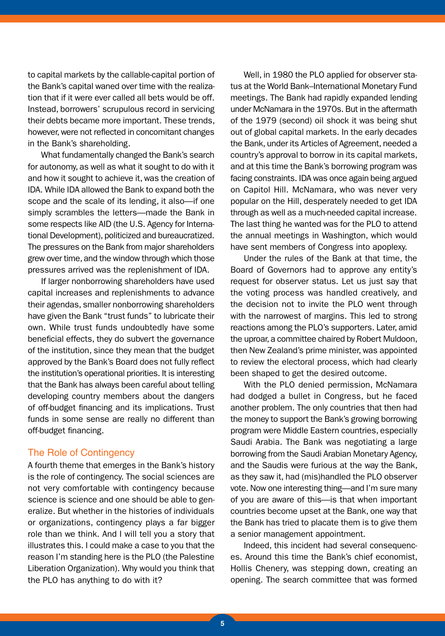to capital markets by the callable-capital portion of the Bank's capital waned over time with the realization that if it were ever called all bets would be off. Instead, borrowers' scrupulous record in servicing their debts became more important. These trends, however, were not reflected in concomitant changes in the Bank's shareholding.

What fundamentally changed the Bank's search for autonomy, as well as what it sought to do with it and how it sought to achieve it, was the creation of IDA. While IDA allowed the Bank to expand both the scope and the scale of its lending, it also—if one simply scrambles the letters—made the Bank in some respects like AID (the U.S. Agency for International Development), politicized and bureaucratized. The pressures on the Bank from major shareholders grew over time, and the window through which those pressures arrived was the replenishment of IDA.

If larger nonborrowing shareholders have used capital increases and replenishments to advance their agendas, smaller nonborrowing shareholders have given the Bank "trust funds" to lubricate their own. While trust funds undoubtedly have some beneficial effects, they do subvert the governance of the institution, since they mean that the budget approved by the Bank's Board does not fully reflect the institution's operational priorities. It is interesting that the Bank has always been careful about telling developing country members about the dangers of off-budget financing and its implications. Trust funds in some sense are really no different than off-budget financing.

#### The Role of Contingency

A fourth theme that emerges in the Bank's history is the role of contingency. The social sciences are not very comfortable with contingency because science is science and one should be able to generalize. But whether in the histories of individuals or organizations, contingency plays a far bigger role than we think. And I will tell you a story that illustrates this. I could make a case to you that the reason I'm standing here is the PLO (the Palestine Liberation Organization). Why would you think that the PLO has anything to do with it?

Well, in 1980 the PLO applied for observer status at the World Bank–International Monetary Fund meetings. The Bank had rapidly expanded lending under McNamara in the 1970s. But in the aftermath of the 1979 (second) oil shock it was being shut out of global capital markets. In the early decades the Bank, under its Articles of Agreement, needed a country's approval to borrow in its capital markets, and at this time the Bank's borrowing program was facing constraints. IDA was once again being argued on Capitol Hill. McNamara, who was never very popular on the Hill, desperately needed to get IDA through as well as a much-needed capital increase. The last thing he wanted was for the PLO to attend the annual meetings in Washington, which would have sent members of Congress into apoplexy.

Under the rules of the Bank at that time, the Board of Governors had to approve any entity's request for observer status. Let us just say that the voting process was handled creatively, and the decision not to invite the PLO went through with the narrowest of margins. This led to strong reactions among the PLO's supporters. Later, amid the uproar, a committee chaired by Robert Muldoon, then New Zealand's prime minister, was appointed to review the electoral process, which had clearly been shaped to get the desired outcome.

With the PLO denied permission, McNamara had dodged a bullet in Congress, but he faced another problem. The only countries that then had the money to support the Bank's growing borrowing program were Middle Eastern countries, especially Saudi Arabia. The Bank was negotiating a large borrowing from the Saudi Arabian Monetary Agency, and the Saudis were furious at the way the Bank, as they saw it, had (mis)handled the PLO observer vote. Now one interesting thing—and I'm sure many of you are aware of this—is that when important countries become upset at the Bank, one way that the Bank has tried to placate them is to give them a senior management appointment.

Indeed, this incident had several consequences. Around this time the Bank's chief economist, Hollis Chenery, was stepping down, creating an opening. The search committee that was formed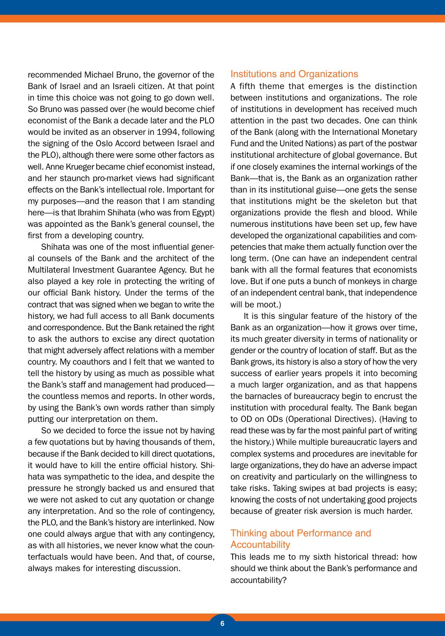recommended Michael Bruno, the governor of the Bank of Israel and an Israeli citizen. At that point in time this choice was not going to go down well. So Bruno was passed over (he would become chief economist of the Bank a decade later and the PLO would be invited as an observer in 1994, following the signing of the Oslo Accord between Israel and the PLO), although there were some other factors as well. Anne Krueger became chief economist instead, and her staunch pro-market views had significant effects on the Bank's intellectual role. Important for my purposes—and the reason that I am standing here—is that Ibrahim Shihata (who was from Egypt) was appointed as the Bank's general counsel, the first from a developing country.

Shihata was one of the most influential general counsels of the Bank and the architect of the Multilateral Investment Guarantee Agency. But he also played a key role in protecting the writing of our official Bank history. Under the terms of the contract that was signed when we began to write the history, we had full access to all Bank documents and correspondence. But the Bank retained the right to ask the authors to excise any direct quotation that might adversely affect relations with a member country. My coauthors and I felt that we wanted to tell the history by using as much as possible what the Bank's staff and management had produced the countless memos and reports. In other words, by using the Bank's own words rather than simply putting our interpretation on them.

So we decided to force the issue not by having a few quotations but by having thousands of them, because if the Bank decided to kill direct quotations, it would have to kill the entire official history. Shihata was sympathetic to the idea, and despite the pressure he strongly backed us and ensured that we were not asked to cut any quotation or change any interpretation. And so the role of contingency, the PLO, and the Bank's history are interlinked. Now one could always argue that with any contingency, as with all histories, we never know what the counterfactuals would have been. And that, of course, always makes for interesting discussion.

#### Institutions and Organizations

A fifth theme that emerges is the distinction between institutions and organizations. The role of institutions in development has received much attention in the past two decades. One can think of the Bank (along with the International Monetary Fund and the United Nations) as part of the postwar institutional architecture of global governance. But if one closely examines the internal workings of the Bank—that is, the Bank as an organization rather than in its institutional guise—one gets the sense that institutions might be the skeleton but that organizations provide the flesh and blood. While numerous institutions have been set up, few have developed the organizational capabilities and competencies that make them actually function over the long term. (One can have an independent central bank with all the formal features that economists love. But if one puts a bunch of monkeys in charge of an independent central bank, that independence will be moot.)

It is this singular feature of the history of the Bank as an organization—how it grows over time, its much greater diversity in terms of nationality or gender or the country of location of staff. But as the Bank grows, its history is also a story of how the very success of earlier years propels it into becoming a much larger organization, and as that happens the barnacles of bureaucracy begin to encrust the institution with procedural fealty. The Bank began to OD on ODs (Operational Directives). (Having to read these was by far the most painful part of writing the history.) While multiple bureaucratic layers and complex systems and procedures are inevitable for large organizations, they do have an adverse impact on creativity and particularly on the willingness to take risks. Taking swipes at bad projects is easy; knowing the costs of not undertaking good projects because of greater risk aversion is much harder.

#### Thinking about Performance and **Accountability**

This leads me to my sixth historical thread: how should we think about the Bank's performance and accountability?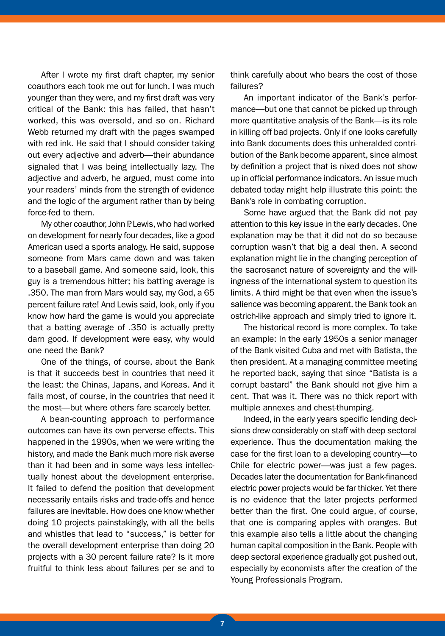After I wrote my first draft chapter, my senior coauthors each took me out for lunch. I was much younger than they were, and my first draft was very critical of the Bank: this has failed, that hasn't worked, this was oversold, and so on. Richard Webb returned my draft with the pages swamped with red ink. He said that I should consider taking out every adjective and adverb—their abundance signaled that I was being intellectually lazy. The adjective and adverb, he argued, must come into your readers' minds from the strength of evidence and the logic of the argument rather than by being force-fed to them.

My other coauthor, John P. Lewis, who had worked on development for nearly four decades, like a good American used a sports analogy. He said, suppose someone from Mars came down and was taken to a baseball game. And someone said, look, this guy is a tremendous hitter; his batting average is .350. The man from Mars would say, my God, a 65 percent failure rate! And Lewis said, look, only if you know how hard the game is would you appreciate that a batting average of .350 is actually pretty darn good. If development were easy, why would one need the Bank?

One of the things, of course, about the Bank is that it succeeds best in countries that need it the least: the Chinas, Japans, and Koreas. And it fails most, of course, in the countries that need it the most—but where others fare scarcely better.

A bean-counting approach to performance outcomes can have its own perverse effects. This happened in the 1990s, when we were writing the history, and made the Bank much more risk averse than it had been and in some ways less intellectually honest about the development enterprise. It failed to defend the position that development necessarily entails risks and trade-offs and hence failures are inevitable. How does one know whether doing 10 projects painstakingly, with all the bells and whistles that lead to "success," is better for the overall development enterprise than doing 20 projects with a 30 percent failure rate? Is it more fruitful to think less about failures per se and to

think carefully about who bears the cost of those failures?

An important indicator of the Bank's performance—but one that cannot be picked up through more quantitative analysis of the Bank—is its role in killing off bad projects. Only if one looks carefully into Bank documents does this unheralded contribution of the Bank become apparent, since almost by definition a project that is nixed does not show up in official performance indicators. An issue much debated today might help illustrate this point: the Bank's role in combating corruption.

Some have argued that the Bank did not pay attention to this key issue in the early decades. One explanation may be that it did not do so because corruption wasn't that big a deal then. A second explanation might lie in the changing perception of the sacrosanct nature of sovereignty and the willingness of the international system to question its limits. A third might be that even when the issue's salience was becoming apparent, the Bank took an ostrich-like approach and simply tried to ignore it.

The historical record is more complex. To take an example: In the early 1950s a senior manager of the Bank visited Cuba and met with Batista, the then president. At a managing committee meeting he reported back, saying that since "Batista is a corrupt bastard" the Bank should not give him a cent. That was it. There was no thick report with multiple annexes and chest-thumping.

Indeed, in the early years specific lending decisions drew considerably on staff with deep sectoral experience. Thus the documentation making the case for the first loan to a developing country—to Chile for electric power—was just a few pages. Decades later the documentation for Bank-financed electric power projects would be far thicker. Yet there is no evidence that the later projects performed better than the first. One could argue, of course, that one is comparing apples with oranges. But this example also tells a little about the changing human capital composition in the Bank. People with deep sectoral experience gradually got pushed out, especially by economists after the creation of the Young Professionals Program.